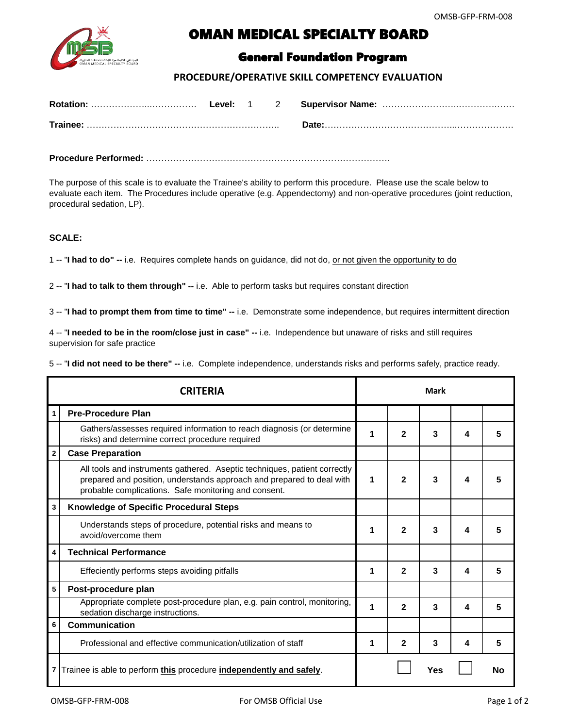

## OMAN MEDICAL SPECIALTY BOARD

## General Foundation Program

## **PROCEDURE/OPERATIVE SKILL COMPETENCY EVALUATION**

|  |  | Date: |
|--|--|-------|

**Procedure Performed:** ……………………………………………………………………….

The purpose of this scale is to evaluate the Trainee's ability to perform this procedure. Please use the scale below to evaluate each item. The Procedures include operative (e.g. Appendectomy) and non-operative procedures (joint reduction, procedural sedation, LP).

## **SCALE:**

1 -- "**I had to do" --** i.e. Requires complete hands on guidance, did not do, or not given the opportunity to do

2 -- "**I had to talk to them through" --** i.e. Able to perform tasks but requires constant direction

3 -- "**I had to prompt them from time to time" --** i.e. Demonstrate some independence, but requires intermittent direction

4 -- "**I needed to be in the room/close just in case" --** i.e. Independence but unaware of risks and still requires supervision for safe practice

5 -- "**I did not need to be there" --** i.e. Complete independence, understands risks and performs safely, practice ready.

| <b>CRITERIA</b>          |                                                                                                                                                                                                            | <b>Mark</b> |   |     |   |    |
|--------------------------|------------------------------------------------------------------------------------------------------------------------------------------------------------------------------------------------------------|-------------|---|-----|---|----|
| 1                        | <b>Pre-Procedure Plan</b>                                                                                                                                                                                  |             |   |     |   |    |
|                          | Gathers/assesses required information to reach diagnosis (or determine<br>risks) and determine correct procedure required                                                                                  | 1           | 2 | 3   | 4 | 5  |
| $\mathbf{2}$             | <b>Case Preparation</b>                                                                                                                                                                                    |             |   |     |   |    |
|                          | All tools and instruments gathered. Aseptic techniques, patient correctly<br>prepared and position, understands approach and prepared to deal with<br>probable complications. Safe monitoring and consent. | 1           | 2 | 3   | 4 |    |
| 3                        | <b>Knowledge of Specific Procedural Steps</b>                                                                                                                                                              |             |   |     |   |    |
|                          | Understands steps of procedure, potential risks and means to<br>avoid/overcome them                                                                                                                        | 1           | 2 | 3   | 4 | 5  |
| 4                        | <b>Technical Performance</b>                                                                                                                                                                               |             |   |     |   |    |
|                          | Effeciently performs steps avoiding pitfalls                                                                                                                                                               | 1           | 2 | 3   | 4 | 5  |
| 5<br>Post-procedure plan |                                                                                                                                                                                                            |             |   |     |   |    |
|                          | Appropriate complete post-procedure plan, e.g. pain control, monitoring,<br>sedation discharge instructions.                                                                                               | 1           | 2 | 3   | 4 | 5  |
| 6                        | <b>Communication</b>                                                                                                                                                                                       |             |   |     |   |    |
|                          | Professional and effective communication/utilization of staff                                                                                                                                              | 1           | 2 | 3   | 4 | 5  |
|                          | 7 Trainee is able to perform this procedure independently and safely.                                                                                                                                      |             |   | Yes |   | No |